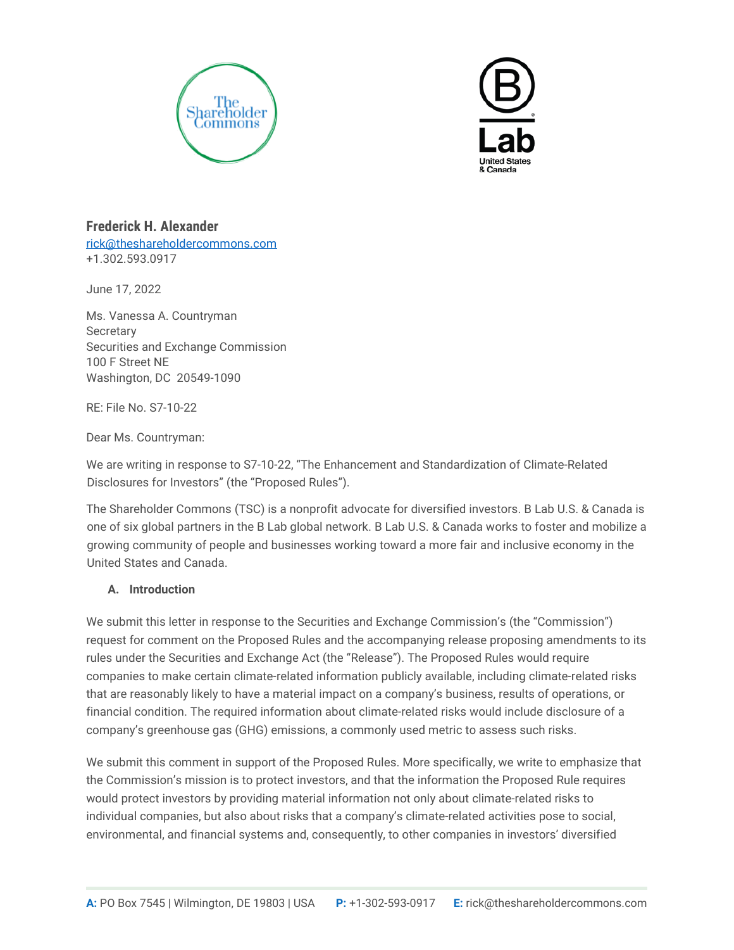



**Frederick H. Alexander** [rick@theshareholdercommons.com](mailto:rick@theshareholdercommons.com) +1.302.593.0917

June 17, 2022

Ms. Vanessa A. Countryman **Secretary** Securities and Exchange Commission 100 F Street NE Washington, DC 20549-1090

RE: File No. S7-10-22

Dear Ms. Countryman:

We are writing in response to S7-10-22, "The Enhancement and Standardization of Climate-Related Disclosures for Investors" (the "Proposed Rules").

The Shareholder Commons (TSC) is a nonprofit advocate for diversified investors. B Lab U.S. & Canada is one of six global partners in the B Lab global network. B Lab U.S. & Canada works to foster and mobilize a growing community of people and businesses working toward a more fair and inclusive economy in the United States and Canada.

## **A. Introduction**

We submit this letter in response to the Securities and Exchange Commission's (the "Commission") request for comment on the Proposed Rules and the accompanying release proposing amendments to its rules under the Securities and Exchange Act (the "Release"). The Proposed Rules would require companies to make certain climate-related information publicly available, including climate-related risks that are reasonably likely to have a material impact on a company's business, results of operations, or financial condition. The required information about climate-related risks would include disclosure of a company's greenhouse gas (GHG) emissions, a commonly used metric to assess such risks.

We submit this comment in support of the Proposed Rules. More specifically, we write to emphasize that the Commission's mission is to protect investors, and that the information the Proposed Rule requires would protect investors by providing material information not only about climate-related risks to individual companies, but also about risks that a company's climate-related activities pose to social, environmental, and financial systems and, consequently, to other companies in investors' diversified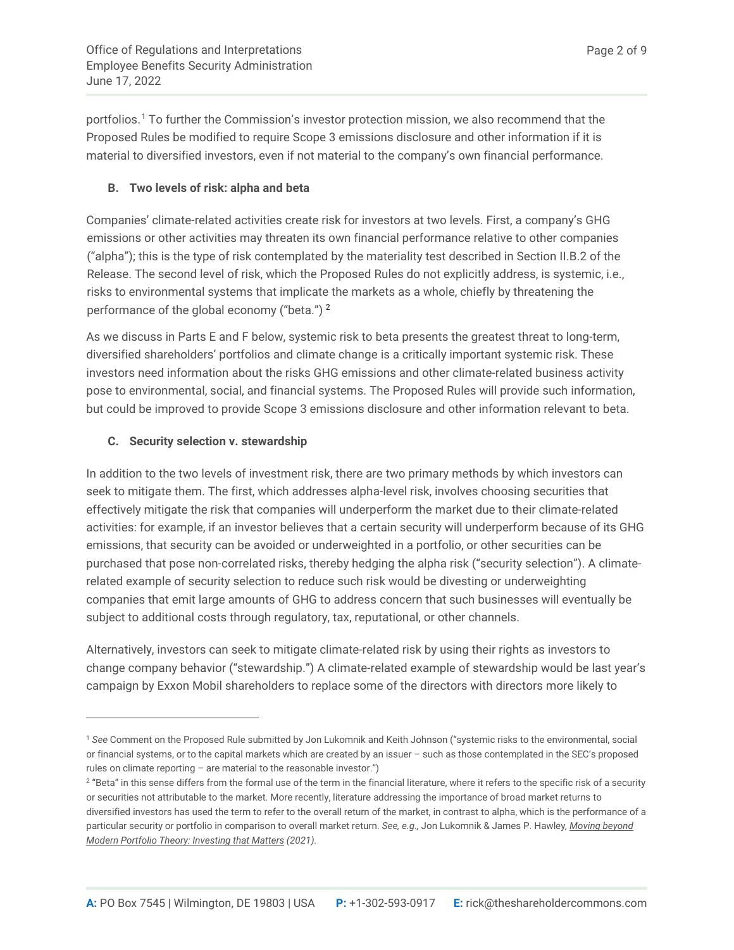<span id="page-1-2"></span>portfolios.[1](#page-1-0) To further the Commission's investor protection mission, we also recommend that the Proposed Rules be modified to require Scope 3 emissions disclosure and other information if it is material to diversified investors, even if not material to the company's own financial performance.

# **B. Two levels of risk: alpha and beta**

Companies' climate-related activities create risk for investors at two levels. First, a company's GHG emissions or other activities may threaten its own financial performance relative to other companies ("alpha"); this is the type of risk contemplated by the materiality test described in Section II.B.2 of the Release. The second level of risk, which the Proposed Rules do not explicitly address, is systemic, i.e., risks to environmental systems that implicate the markets as a whole, chiefly by threatening the performance of the global economy ("beta.") [2](#page-1-1)

<span id="page-1-3"></span>As we discuss in Parts E and F below, systemic risk to beta presents the greatest threat to long-term, diversified shareholders' portfolios and climate change is a critically important systemic risk. These investors need information about the risks GHG emissions and other climate-related business activity pose to environmental, social, and financial systems. The Proposed Rules will provide such information, but could be improved to provide Scope 3 emissions disclosure and other information relevant to beta.

# **C. Security selection v. stewardship**

 $\overline{a}$ 

In addition to the two levels of investment risk, there are two primary methods by which investors can seek to mitigate them. The first, which addresses alpha-level risk, involves choosing securities that effectively mitigate the risk that companies will underperform the market due to their climate-related activities: for example, if an investor believes that a certain security will underperform because of its GHG emissions, that security can be avoided or underweighted in a portfolio, or other securities can be purchased that pose non-correlated risks, thereby hedging the alpha risk ("security selection"). A climaterelated example of security selection to reduce such risk would be divesting or underweighting companies that emit large amounts of GHG to address concern that such businesses will eventually be subject to additional costs through regulatory, tax, reputational, or other channels.

Alternatively, investors can seek to mitigate climate-related risk by using their rights as investors to change company behavior ("stewardship.") A climate-related example of stewardship would be last year's campaign by Exxon Mobil shareholders to replace some of the directors with directors more likely to

<span id="page-1-0"></span><sup>1</sup> *See* Comment on the Proposed Rule submitted by Jon Lukomnik and Keith Johnson ("systemic risks to the environmental, social or financial systems, or to the capital markets which are created by an issuer – such as those contemplated in the SEC's proposed rules on climate reporting  $-$  are material to the reasonable investor.")

<span id="page-1-1"></span><sup>&</sup>lt;sup>2</sup> "Beta" in this sense differs from the formal use of the term in the financial literature, where it refers to the specific risk of a security or securities not attributable to the market. More recently, literature addressing the importance of broad market returns to diversified investors has used the term to refer to the overall return of the market, in contrast to alpha, which is the performance of a particular security or portfolio in comparison to overall market return. *See, e.g.,* Jon Lukomnik & James P. Hawley*, Moving beyond Modern Portfolio Theory: Investing that Matters (2021).*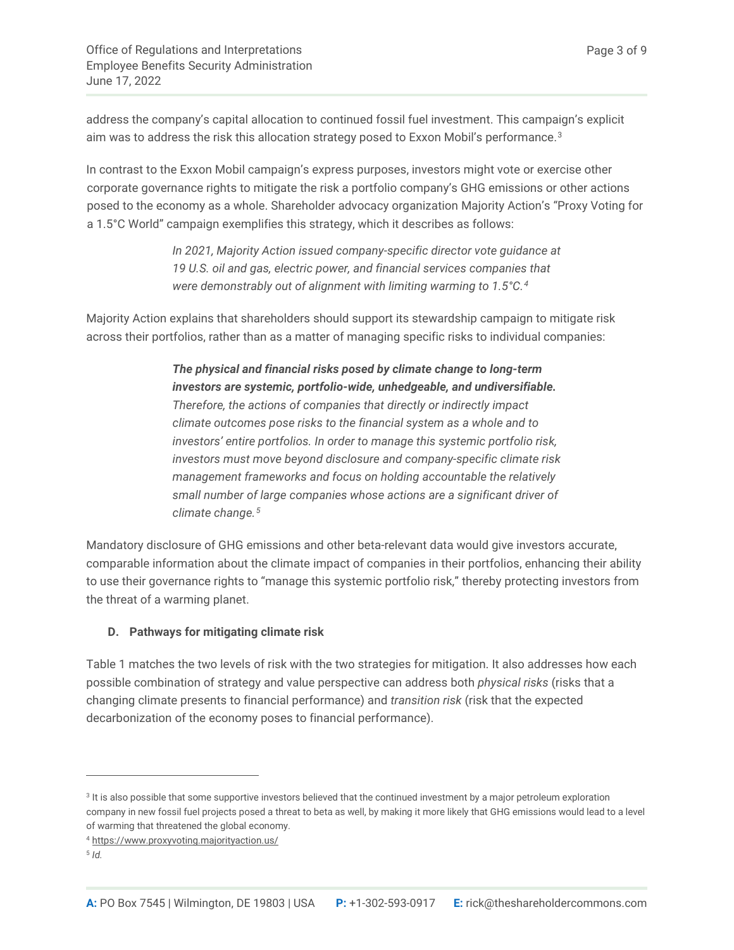address the company's capital allocation to continued fossil fuel investment. This campaign's explicit aim was to address the risk this allocation strategy posed to Exxon Mobil's performance.<sup>[3](#page-2-0)</sup>

In contrast to the Exxon Mobil campaign's express purposes, investors might vote or exercise other corporate governance rights to mitigate the risk a portfolio company's GHG emissions or other actions posed to the economy as a whole. Shareholder advocacy organization Majority Action's "Proxy Voting for a 1.5°C World" campaign exemplifies this strategy, which it describes as follows:

> *In 2021, Majority Action issued company-specific director vote guidance at 19 U.S. oil and gas, electric power, and financial services companies that were demonstrably out of alignment with limiting warming to 1.5°C. [4](#page-2-1)*

Majority Action explains that shareholders should support its stewardship campaign to mitigate risk across their portfolios, rather than as a matter of managing specific risks to individual companies:

> *The physical and financial risks posed by climate change to long-term investors are systemic, portfolio-wide, unhedgeable, and undiversifiable. Therefore, the actions of companies that directly or indirectly impact climate outcomes pose risks to the financial system as a whole and to investors' entire portfolios. In order to manage this systemic portfolio risk, investors must move beyond disclosure and company-specific climate risk management frameworks and focus on holding accountable the relatively small number of large companies whose actions are a significant driver of climate change.[5](#page-2-2)*

Mandatory disclosure of GHG emissions and other beta-relevant data would give investors accurate, comparable information about the climate impact of companies in their portfolios, enhancing their ability to use their governance rights to "manage this systemic portfolio risk," thereby protecting investors from the threat of a warming planet.

## **D. Pathways for mitigating climate risk**

Table 1 matches the two levels of risk with the two strategies for mitigation. It also addresses how each possible combination of strategy and value perspective can address both *physical risks* (risks that a changing climate presents to financial performance) and *transition risk* (risk that the expected decarbonization of the economy poses to financial performance).

<span id="page-2-0"></span><sup>&</sup>lt;sup>3</sup> It is also possible that some supportive investors believed that the continued investment by a major petroleum exploration company in new fossil fuel projects posed a threat to beta as well, by making it more likely that GHG emissions would lead to a level of warming that threatened the global economy.

<span id="page-2-1"></span><sup>4</sup> <https://www.proxyvoting.majorityaction.us/>

<span id="page-2-2"></span><sup>5</sup> *Id.*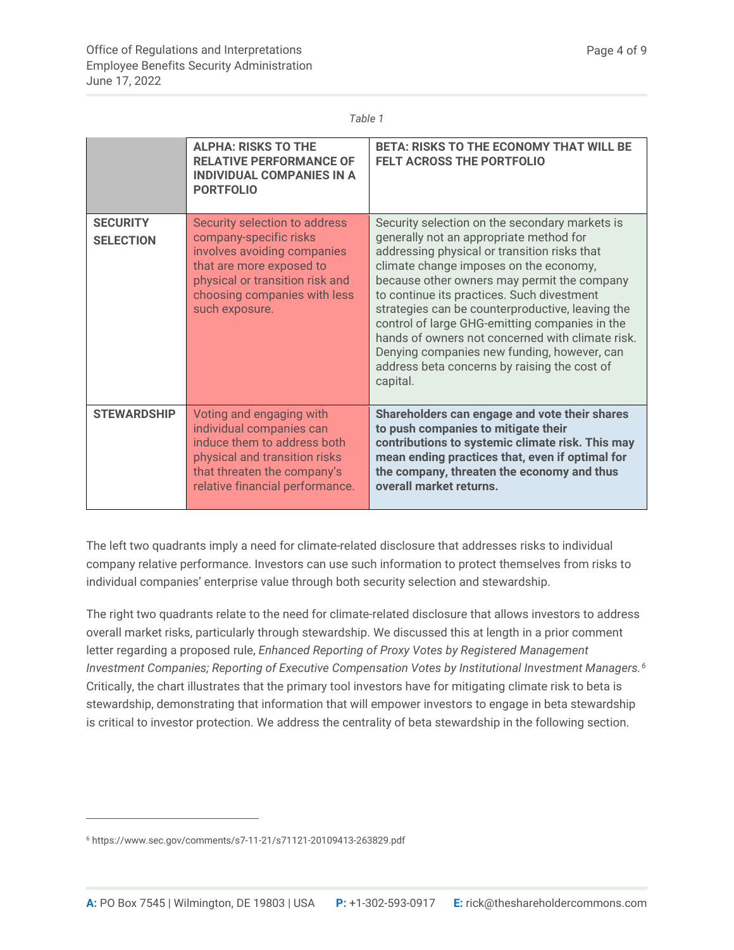#### *Table 1*

|                                     | <b>ALPHA: RISKS TO THE</b><br><b>RELATIVE PERFORMANCE OF</b><br><b>INDIVIDUAL COMPANIES IN A</b><br><b>PORTFOLIO</b>                                                                                    | <b>BETA: RISKS TO THE ECONOMY THAT WILL BE</b><br><b>FELT ACROSS THE PORTFOLIO</b>                                                                                                                                                                                                                                                                                                                                                                                                                                                                    |
|-------------------------------------|---------------------------------------------------------------------------------------------------------------------------------------------------------------------------------------------------------|-------------------------------------------------------------------------------------------------------------------------------------------------------------------------------------------------------------------------------------------------------------------------------------------------------------------------------------------------------------------------------------------------------------------------------------------------------------------------------------------------------------------------------------------------------|
| <b>SECURITY</b><br><b>SELECTION</b> | Security selection to address<br>company-specific risks<br>involves avoiding companies<br>that are more exposed to<br>physical or transition risk and<br>choosing companies with less<br>such exposure. | Security selection on the secondary markets is<br>generally not an appropriate method for<br>addressing physical or transition risks that<br>climate change imposes on the economy,<br>because other owners may permit the company<br>to continue its practices. Such divestment<br>strategies can be counterproductive, leaving the<br>control of large GHG-emitting companies in the<br>hands of owners not concerned with climate risk.<br>Denying companies new funding, however, can<br>address beta concerns by raising the cost of<br>capital. |
| <b>STEWARDSHIP</b>                  | Voting and engaging with<br>individual companies can<br>induce them to address both<br>physical and transition risks<br>that threaten the company's<br>relative financial performance.                  | Shareholders can engage and vote their shares<br>to push companies to mitigate their<br>contributions to systemic climate risk. This may<br>mean ending practices that, even if optimal for<br>the company, threaten the economy and thus<br>overall market returns.                                                                                                                                                                                                                                                                                  |

The left two quadrants imply a need for climate-related disclosure that addresses risks to individual company relative performance. Investors can use such information to protect themselves from risks to individual companies' enterprise value through both security selection and stewardship.

<span id="page-3-1"></span>The right two quadrants relate to the need for climate-related disclosure that allows investors to address overall market risks, particularly through stewardship. We discussed this at length in a prior comment letter regarding a proposed rule, *Enhanced Reporting of Proxy Votes by Registered Management Investment Companies; Reporting of Executive Compensation Votes by Institutional Investment Managers. [6](#page-3-0)* Critically, the chart illustrates that the primary tool investors have for mitigating climate risk to beta is stewardship, demonstrating that information that will empower investors to engage in beta stewardship is critical to investor protection. We address the centrality of beta stewardship in the following section.

<span id="page-3-0"></span><sup>6</sup> https://www.sec.gov/comments/s7-11-21/s71121-20109413-263829.pdf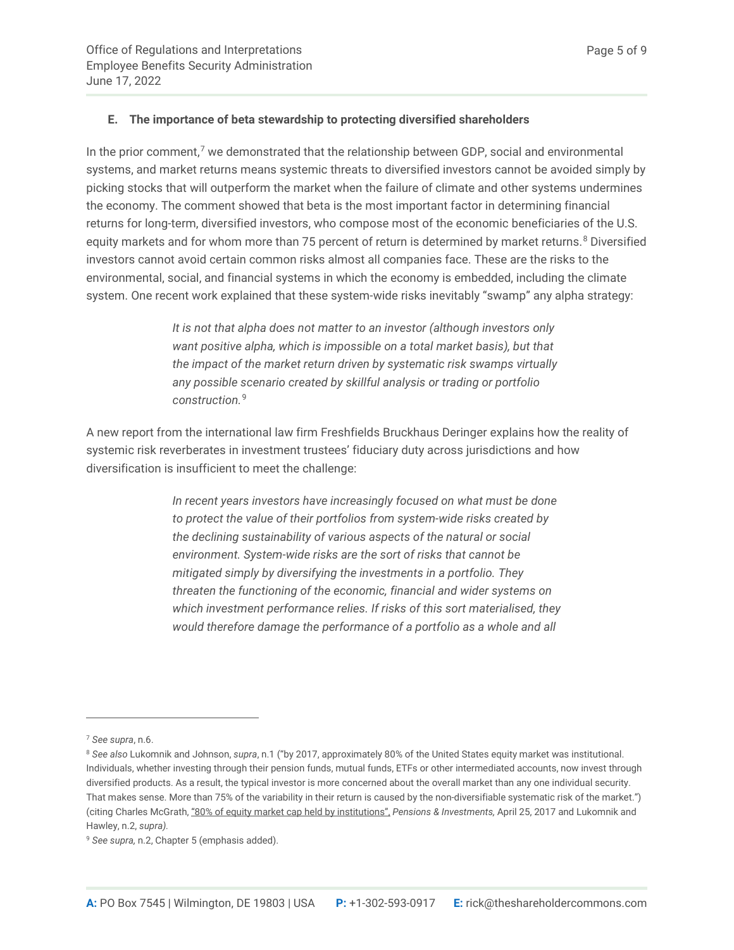## **E. The importance of beta stewardship to protecting diversified shareholders**

In the prior comment, $7$  we demonstrated that the relationship between GDP, social and environmental systems, and market returns means systemic threats to diversified investors cannot be avoided simply by picking stocks that will outperform the market when the failure of climate and other systems undermines the economy. The comment showed that beta is the most important factor in determining financial returns for long-term, diversified investors, who compose most of the economic beneficiaries of the U.S. equity markets and for whom more than 75 percent of return is determined by market returns.<sup>[8](#page-4-1)</sup> Diversified investors cannot avoid certain common risks almost all companies face. These are the risks to the environmental, social, and financial systems in which the economy is embedded, including the climate system. One recent work explained that these system-wide risks inevitably "swamp" any alpha strategy:

> *It is not that alpha does not matter to an investor (although investors only want positive alpha, which is impossible on a total market basis), but that the impact of the market return driven by systematic risk swamps virtually any possible scenario created by skillful analysis or trading or portfolio construction.*[9](#page-4-2)

A new report from the international law firm Freshfields Bruckhaus Deringer explains how the reality of systemic risk reverberates in investment trustees' fiduciary duty across jurisdictions and how diversification is insufficient to meet the challenge:

> *In recent years investors have increasingly focused on what must be done to protect the value of their portfolios from system-wide risks created by the declining sustainability of various aspects of the natural or social environment. System-wide risks are the sort of risks that cannot be mitigated simply by diversifying the investments in a portfolio. They threaten the functioning of the economic, financial and wider systems on which investment performance relies. If risks of this sort materialised, they would therefore damage the performance of a portfolio as a whole and all*

<span id="page-4-0"></span><sup>7</sup> *See supra*, [n.6.](#page-3-1)

<span id="page-4-1"></span><sup>8</sup> *See also* Lukomnik and Johnson, *supra*, [n.1](#page-1-2) ("by 2017, approximately 80% of the United States equity market was institutional. Individuals, whether investing through their pension funds, mutual funds, ETFs or other intermediated accounts, now invest through diversified products. As a result, the typical investor is more concerned about the overall market than any one individual security. That makes sense. More than 75% of the variability in their return is caused by the non-diversifiable systematic risk of the market.") (citing Charles McGrath[, "80% of equity market cap held by institutions",](https://www.pionline.com/article/20170425/INTERACTIVE/170429926/80-of-equity-market-cap-held-by-institutions) *Pensions & Investments,* April 25, 2017 and Lukomnik and Hawley, [n.2,](#page-1-3) *supra).*

<span id="page-4-2"></span><sup>9</sup> *See supra,* [n.2,](#page-1-3) Chapter 5 (emphasis added).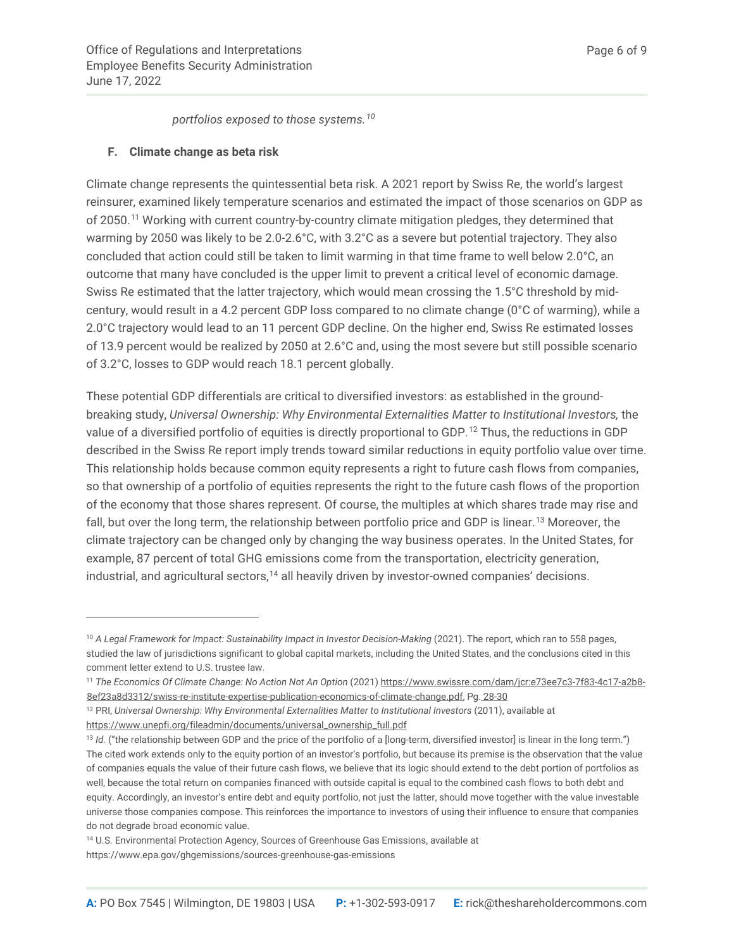*portfolios exposed to those systems.[10](#page-5-0)*

## **F. Climate change as beta risk**

Climate change represents the quintessential beta risk. A 2021 report by Swiss Re, the world's largest reinsurer, examined likely temperature scenarios and estimated the impact of those scenarios on GDP as of 2050.[11](#page-5-1) Working with current country-by-country climate mitigation pledges, they determined that warming by 2050 was likely to be 2.0-2.6°C, with 3.2°C as a severe but potential trajectory. They also concluded that action could still be taken to limit warming in that time frame to well below 2.0°C, an outcome that many have concluded is the upper limit to prevent a critical level of economic damage. Swiss Re estimated that the latter trajectory, which would mean crossing the 1.5°C threshold by midcentury, would result in a 4.2 percent GDP loss compared to no climate change (0°C of warming), while a 2.0°C trajectory would lead to an 11 percent GDP decline. On the higher end, Swiss Re estimated losses of 13.9 percent would be realized by 2050 at 2.6°C and, using the most severe but still possible scenario of 3.2°C, losses to GDP would reach 18.1 percent globally.

These potential GDP differentials are critical to diversified investors: as established in the groundbreaking study, *Universal Ownership: Why Environmental Externalities Matter to Institutional Investors,* the value of a diversified portfolio of equities is directly proportional to GDP.[12](#page-5-2) Thus, the reductions in GDP described in the Swiss Re report imply trends toward similar reductions in equity portfolio value over time. This relationship holds because common equity represents a right to future cash flows from companies, so that ownership of a portfolio of equities represents the right to the future cash flows of the proportion of the economy that those shares represent. Of course, the multiples at which shares trade may rise and fall, but over the long term, the relationship between portfolio price and GDP is linear.<sup>[13](#page-5-3)</sup> Moreover, the climate trajectory can be changed only by changing the way business operates. In the United States, for example, 87 percent of total GHG emissions come from the transportation, electricity generation, industrial, and agricultural sectors, $14$  all heavily driven by investor-owned companies' decisions.

[https://www.unepfi.org/fileadmin/documents/universal\\_ownership\\_full.pdf](https://www.unepfi.org/fileadmin/documents/universal_ownership_full.pdf)

<span id="page-5-0"></span><sup>&</sup>lt;sup>10</sup> A Legal Framework for Impact: Sustainability Impact in Investor Decision-Making (2021). The report, which ran to 558 pages, studied the law of jurisdictions significant to global capital markets, including the United States, and the conclusions cited in this comment letter extend to U.S. trustee law.

<span id="page-5-1"></span><sup>&</sup>lt;sup>11</sup> The Economics Of Climate Change: No Action Not An Option (2021) [https://www.swissre.com/dam/jcr:e73ee7c3-7f83-4c17-a2b8-](https://www.swissre.com/dam/jcr:e73ee7c3-7f83-4c17-a2b8-8ef23a8d3312/swiss-re-institute-expertise-publication-economics-of-climate-change.pdf) [8ef23a8d3312/swiss-re-institute-expertise-publication-economics-of-climate-change.pdf,](https://www.swissre.com/dam/jcr:e73ee7c3-7f83-4c17-a2b8-8ef23a8d3312/swiss-re-institute-expertise-publication-economics-of-climate-change.pdf) Pg. [28-30](https://www.swissre.com/dam/jcr:e73ee7c3-7f83-4c17-a2b8-8ef23a8d3312/swiss-re-institute-expertise-publication-economics-of-climate-change.pdf)

<span id="page-5-2"></span><sup>&</sup>lt;sup>12</sup> PRI, Universal Ownership: Why Environmental Externalities Matter to Institutional Investors (2011), available at

<span id="page-5-3"></span><sup>13</sup> *Id.* ("the relationship between GDP and the price of the portfolio of a [long-term, diversified investor] is linear in the long term.") The cited work extends only to the equity portion of an investor's portfolio, but because its premise is the observation that the value of companies equals the value of their future cash flows, we believe that its logic should extend to the debt portion of portfolios as well, because the total return on companies financed with outside capital is equal to the combined cash flows to both debt and equity. Accordingly, an investor's entire debt and equity portfolio, not just the latter, should move together with the value investable universe those companies compose. This reinforces the importance to investors of using their influence to ensure that companies do not degrade broad economic value.

<span id="page-5-4"></span><sup>14</sup> U.S. Environmental Protection Agency, Sources of Greenhouse Gas Emissions, available at

https://www.epa.gov/ghgemissions/sources-greenhouse-gas-emissions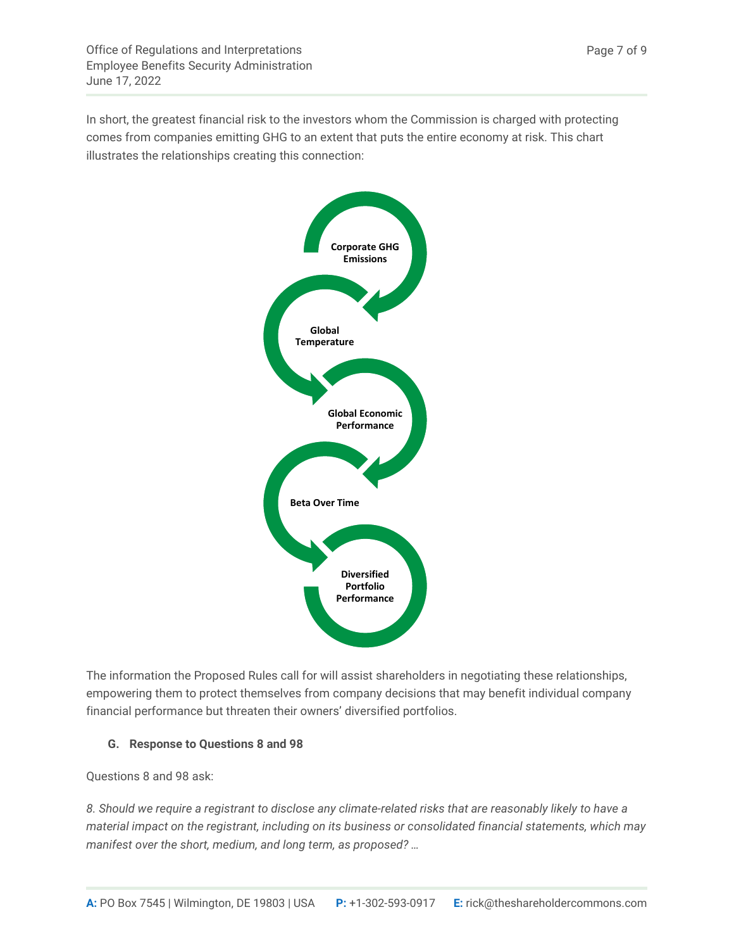In short, the greatest financial risk to the investors whom the Commission is charged with protecting comes from companies emitting GHG to an extent that puts the entire economy at risk. This chart illustrates the relationships creating this connection:



The information the Proposed Rules call for will assist shareholders in negotiating these relationships, empowering them to protect themselves from company decisions that may benefit individual company financial performance but threaten their owners' diversified portfolios.

# **G. Response to Questions 8 and 98**

Questions 8 and 98 ask:

*8. Should we require a registrant to disclose any climate-related risks that are reasonably likely to have a material impact on the registrant, including on its business or consolidated financial statements, which may manifest over the short, medium, and long term, as proposed? …*